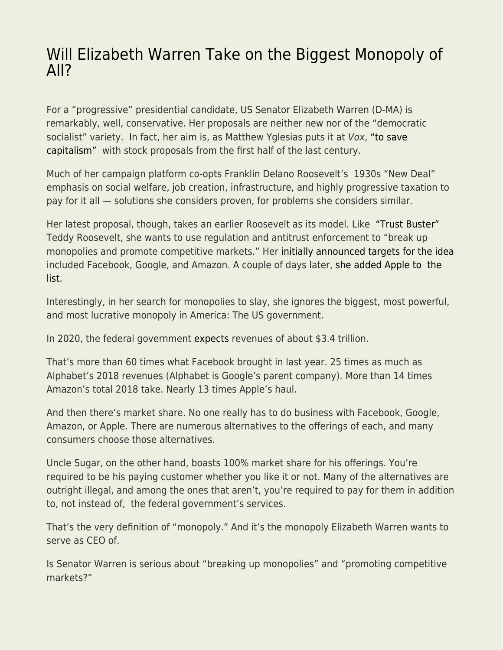## [Will Elizabeth Warren Take on the Biggest Monopoly of](https://everything-voluntary.com/will-elizabeth-warren-take-on-the-biggest-monopoly-of-all) [All?](https://everything-voluntary.com/will-elizabeth-warren-take-on-the-biggest-monopoly-of-all)

For a "progressive" presidential candidate, US Senator Elizabeth Warren (D-MA) is remarkably, well, conservative. Her proposals are neither new nor of the "democratic socialist" variety. In fact, her aim is, as Matthew Yglesias puts it at Vox, ["to save](https://www.vox.com/2018/8/15/17683022/elizabeth-warren-accountable-capitalism-corporations) [capitalism"](https://www.vox.com/2018/8/15/17683022/elizabeth-warren-accountable-capitalism-corporations) with stock proposals from the first half of the last century.

Much of her campaign platform co-opts Franklin Delano Roosevelt's 1930s "New Deal" emphasis on social welfare, job creation, infrastructure, and highly progressive taxation to pay for it all — solutions she considers proven, for problems she considers similar.

Her latest proposal, though, takes an earlier Roosevelt as its model. Like ["Trust Buster"](http://www.ushistory.org/us/43b.asp) Teddy Roosevelt, she wants to use regulation and antitrust enforcement to "break up monopolies and promote competitive markets." Her [initially announced targets for the idea](https://www.nbcnews.com/tech/tech-news/elizabeth-warren-calls-break-facebook-google-amazon-n980911) included Facebook, Google, and Amazon. A couple of days later, [she added Apple to the](https://www.theverge.com/2019/3/9/18257965/elizabeth-warren-break-up-apple-monopoly-antitrust) [list.](https://www.theverge.com/2019/3/9/18257965/elizabeth-warren-break-up-apple-monopoly-antitrust)

Interestingly, in her search for monopolies to slay, she ignores the biggest, most powerful, and most lucrative monopoly in America: The US government.

In 2020, the federal government [expects](https://www.whitehouse.gov/wp-content/uploads/2019/03/budget-fy2020.pdf) revenues of about \$3.4 trillion.

That's more than 60 times what Facebook brought in last year. 25 times as much as Alphabet's 2018 revenues (Alphabet is Google's parent company). More than 14 times Amazon's total 2018 take. Nearly 13 times Apple's haul.

And then there's market share. No one really has to do business with Facebook, Google, Amazon, or Apple. There are numerous alternatives to the offerings of each, and many consumers choose those alternatives.

Uncle Sugar, on the other hand, boasts 100% market share for his offerings. You're required to be his paying customer whether you like it or not. Many of the alternatives are outright illegal, and among the ones that aren't, you're required to pay for them in addition to, not instead of, the federal government's services.

That's the very definition of "monopoly." And it's the monopoly Elizabeth Warren wants to serve as CEO of.

Is Senator Warren is serious about "breaking up monopolies" and "promoting competitive markets?"